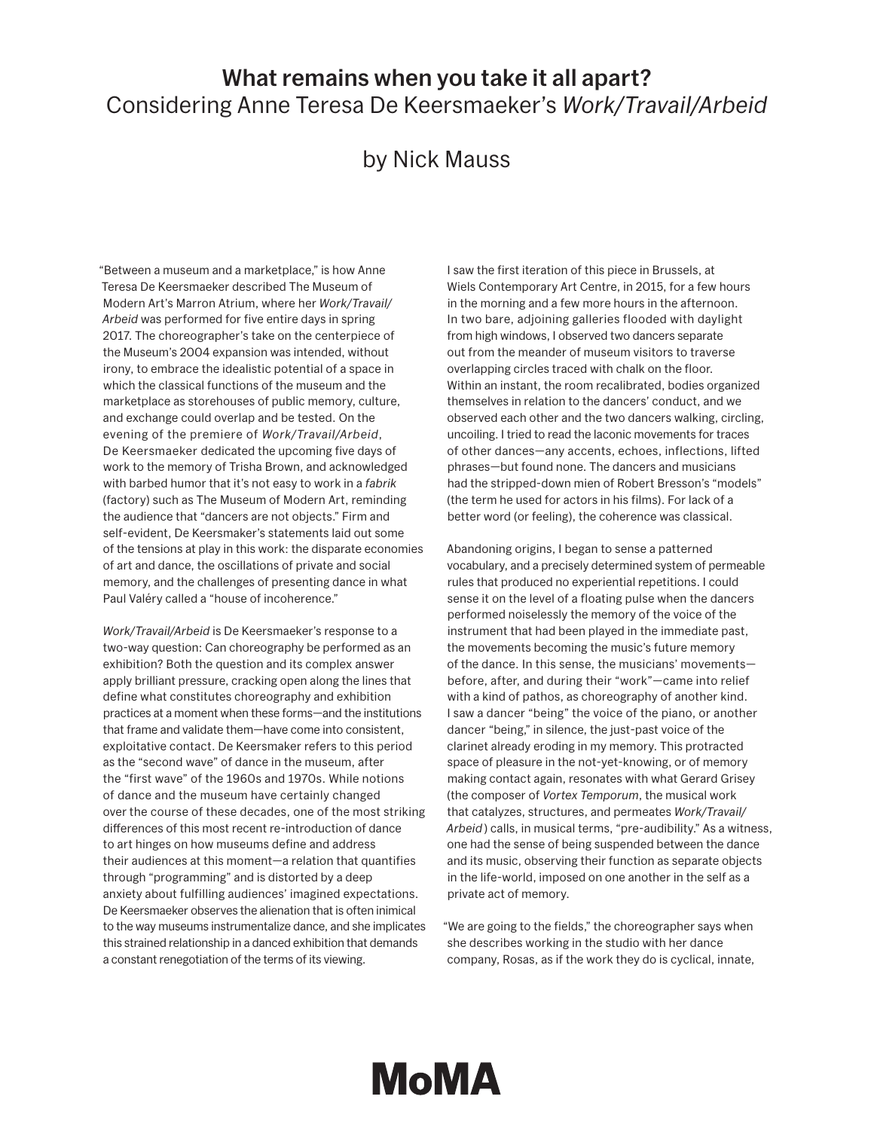## What remains when you take it all apart? Considering Anne Teresa De Keersmaeker's *Work/Travail/Arbeid*

## by Nick Mauss

"Between a museum and a marketplace," is how Anne Teresa De Keersmaeker described The Museum of Modern Art's Marron Atrium, where her *Work/Travail/ Arbeid* was performed for five entire days in spring 2017. The choreographer's take on the centerpiece of the Museum's 2004 expansion was intended, without irony, to embrace the idealistic potential of a space in which the classical functions of the museum and the marketplace as storehouses of public memory, culture, and exchange could overlap and be tested. On the evening of the premiere of *Work/Travail/Arbeid*, De Keersmaeker dedicated the upcoming five days of work to the memory of Trisha Brown, and acknowledged with barbed humor that it's not easy to work in a *fabrik* (factory) such as The Museum of Modern Art, reminding the audience that "dancers are not objects." Firm and self-evident, De Keersmaker's statements laid out some of the tensions at play in this work: the disparate economies of art and dance, the oscillations of private and social memory, and the challenges of presenting dance in what Paul Valéry called a "house of incoherence."

*Work/Travail/Arbeid* is De Keersmaeker's response to a two-way question: Can choreography be performed as an exhibition? Both the question and its complex answer apply brilliant pressure, cracking open along the lines that define what constitutes choreography and exhibition practices at a moment when these forms—and the institutions that frame and validate them—have come into consistent, exploitative contact. De Keersmaker refers to this period as the "second wave" of dance in the museum, after the "first wave" of the 1960s and 1970s. While notions of dance and the museum have certainly changed over the course of these decades, one of the most striking differences of this most recent re-introduction of dance to art hinges on how museums define and address their audiences at this moment—a relation that quantifies through "programming" and is distorted by a deep anxiety about fulfilling audiences' imagined expectations. De Keersmaeker observes the alienation that is often inimical to the way museums instrumentalize dance, and she implicates this strained relationship in a danced exhibition that demands a constant renegotiation of the terms of its viewing.

I saw the first iteration of this piece in Brussels, at Wiels Contemporary Art Centre, in 2015, for a few hours in the morning and a few more hours in the afternoon. In two bare, adjoining galleries flooded with daylight from high windows, I observed two dancers separate out from the meander of museum visitors to traverse overlapping circles traced with chalk on the floor. Within an instant, the room recalibrated, bodies organized themselves in relation to the dancers' conduct, and we observed each other and the two dancers walking, circling, uncoiling. I tried to read the laconic movements for traces of other dances—any accents, echoes, inflections, lifted phrases—but found none. The dancers and musicians had the stripped-down mien of Robert Bresson's "models" (the term he used for actors in his films). For lack of a better word (or feeling), the coherence was classical.

Abandoning origins, I began to sense a patterned vocabulary, and a precisely determined system of permeable rules that produced no experiential repetitions. I could sense it on the level of a floating pulse when the dancers performed noiselessly the memory of the voice of the instrument that had been played in the immediate past, the movements becoming the music's future memory of the dance. In this sense, the musicians' movements before, after, and during their "work"—came into relief with a kind of pathos, as choreography of another kind. I saw a dancer "being" the voice of the piano, or another dancer "being," in silence, the just-past voice of the clarinet already eroding in my memory. This protracted space of pleasure in the not-yet-knowing, or of memory making contact again, resonates with what Gerard Grisey (the composer of *Vortex Temporum*, the musical work that catalyzes, structures, and permeates *Work/Travail/ Arbeid* ) calls, in musical terms, "pre-audibility." As a witness, one had the sense of being suspended between the dance and its music, observing their function as separate objects in the life-world, imposed on one another in the self as a private act of memory.

"We are going to the fields," the choreographer says when she describes working in the studio with her dance company, Rosas, as if the work they do is cyclical, innate,

## MoMA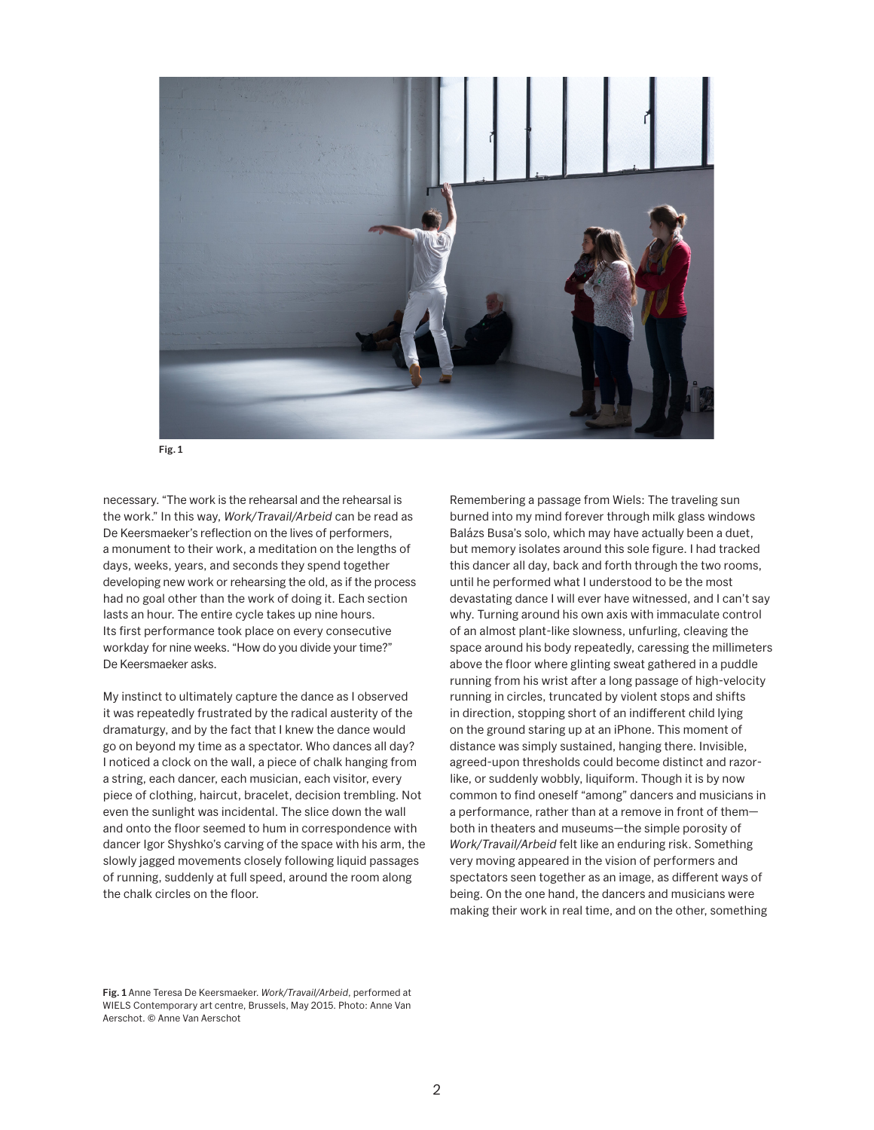



necessary. "The work is the rehearsal and the rehearsal is the work." In this way, *Work/Travail/Arbeid* can be read as De Keersmaeker's reflection on the lives of performers, a monument to their work, a meditation on the lengths of days, weeks, years, and seconds they spend together developing new work or rehearsing the old, as if the process had no goal other than the work of doing it. Each section lasts an hour. The entire cycle takes up nine hours. Its first performance took place on every consecutive workday for nine weeks. "How do you divide your time?" De Keersmaeker asks.

My instinct to ultimately capture the dance as I observed it was repeatedly frustrated by the radical austerity of the dramaturgy, and by the fact that I knew the dance would go on beyond my time as a spectator. Who dances all day? I noticed a clock on the wall, a piece of chalk hanging from a string, each dancer, each musician, each visitor, every piece of clothing, haircut, bracelet, decision trembling. Not even the sunlight was incidental. The slice down the wall and onto the floor seemed to hum in correspondence with dancer Igor Shyshko's carving of the space with his arm, the slowly jagged movements closely following liquid passages of running, suddenly at full speed, around the room along the chalk circles on the floor.

Remembering a passage from Wiels: The traveling sun burned into my mind forever through milk glass windows Balázs Busa's solo, which may have actually been a duet, but memory isolates around this sole figure. I had tracked this dancer all day, back and forth through the two rooms, until he performed what I understood to be the most devastating dance I will ever have witnessed, and I can't say why. Turning around his own axis with immaculate control of an almost plant-like slowness, unfurling, cleaving the space around his body repeatedly, caressing the millimeters above the floor where glinting sweat gathered in a puddle running from his wrist after a long passage of high-velocity running in circles, truncated by violent stops and shifts in direction, stopping short of an indifferent child lying on the ground staring up at an iPhone. This moment of distance was simply sustained, hanging there. Invisible, agreed-upon thresholds could become distinct and razorlike, or suddenly wobbly, liquiform. Though it is by now common to find oneself "among" dancers and musicians in a performance, rather than at a remove in front of them both in theaters and museums—the simple porosity of *Work/Travail/Arbeid* felt like an enduring risk. Something very moving appeared in the vision of performers and spectators seen together as an image, as different ways of being. On the one hand, the dancers and musicians were making their work in real time, and on the other, something

Fig. 1 Anne Teresa De Keersmaeker. *Work/Travail/Arbeid*, performed at WIELS Contemporary art centre, Brussels, May 2015. Photo: Anne Van Aerschot. © Anne Van Aerschot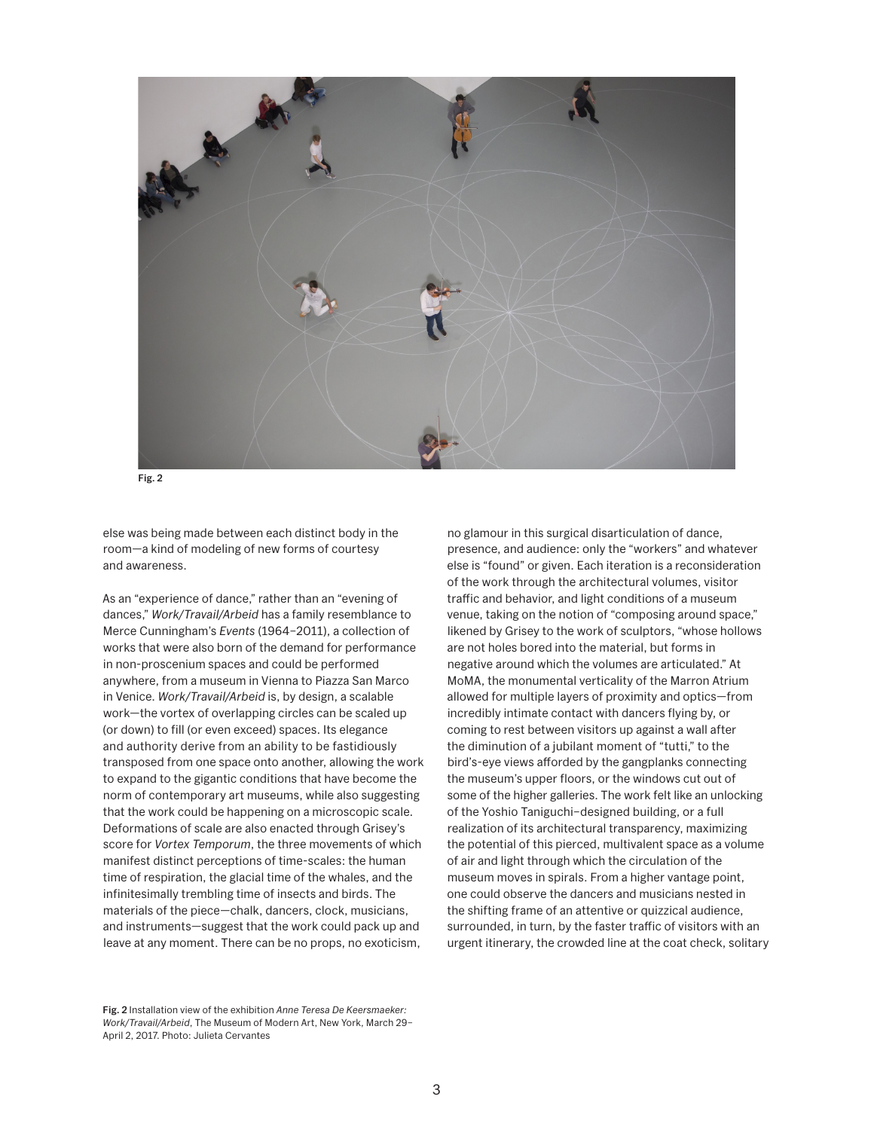

Fig. 2

else was being made between each distinct body in the room—a kind of modeling of new forms of courtesy and awareness.

As an "experience of dance," rather than an "evening of dances," *Work/Travail/Arbeid* has a family resemblance to Merce Cunningham's *Events* (1964–2011), a collection of works that were also born of the demand for performance in non-proscenium spaces and could be performed anywhere, from a museum in Vienna to Piazza San Marco in Venice. *Work/Travail/Arbeid* is, by design, a scalable work—the vortex of overlapping circles can be scaled up (or down) to fill (or even exceed) spaces. Its elegance and authority derive from an ability to be fastidiously transposed from one space onto another, allowing the work to expand to the gigantic conditions that have become the norm of contemporary art museums, while also suggesting that the work could be happening on a microscopic scale. Deformations of scale are also enacted through Grisey's score for *Vortex Temporum*, the three movements of which manifest distinct perceptions of time-scales: the human time of respiration, the glacial time of the whales, and the infinitesimally trembling time of insects and birds. The materials of the piece—chalk, dancers, clock, musicians, and instruments—suggest that the work could pack up and leave at any moment. There can be no props, no exoticism,

Fig. 2 Installation view of the exhibition *Anne Teresa De Keersmaeker: Work/Travail/Arbeid*, The Museum of Modern Art, New York, March 29– April 2, 2017. Photo: Julieta Cervantes

no glamour in this surgical disarticulation of dance, presence, and audience: only the "workers" and whatever else is "found" or given. Each iteration is a reconsideration of the work through the architectural volumes, visitor traffic and behavior, and light conditions of a museum venue, taking on the notion of "composing around space," likened by Grisey to the work of sculptors, "whose hollows are not holes bored into the material, but forms in negative around which the volumes are articulated." At MoMA, the monumental verticality of the Marron Atrium allowed for multiple layers of proximity and optics—from incredibly intimate contact with dancers flying by, or coming to rest between visitors up against a wall after the diminution of a jubilant moment of "tutti," to the bird's-eye views afforded by the gangplanks connecting the museum's upper floors, or the windows cut out of some of the higher galleries. The work felt like an unlocking of the Yoshio Taniguchi–designed building, or a full realization of its architectural transparency, maximizing the potential of this pierced, multivalent space as a volume of air and light through which the circulation of the museum moves in spirals. From a higher vantage point, one could observe the dancers and musicians nested in the shifting frame of an attentive or quizzical audience, surrounded, in turn, by the faster traffic of visitors with an urgent itinerary, the crowded line at the coat check, solitary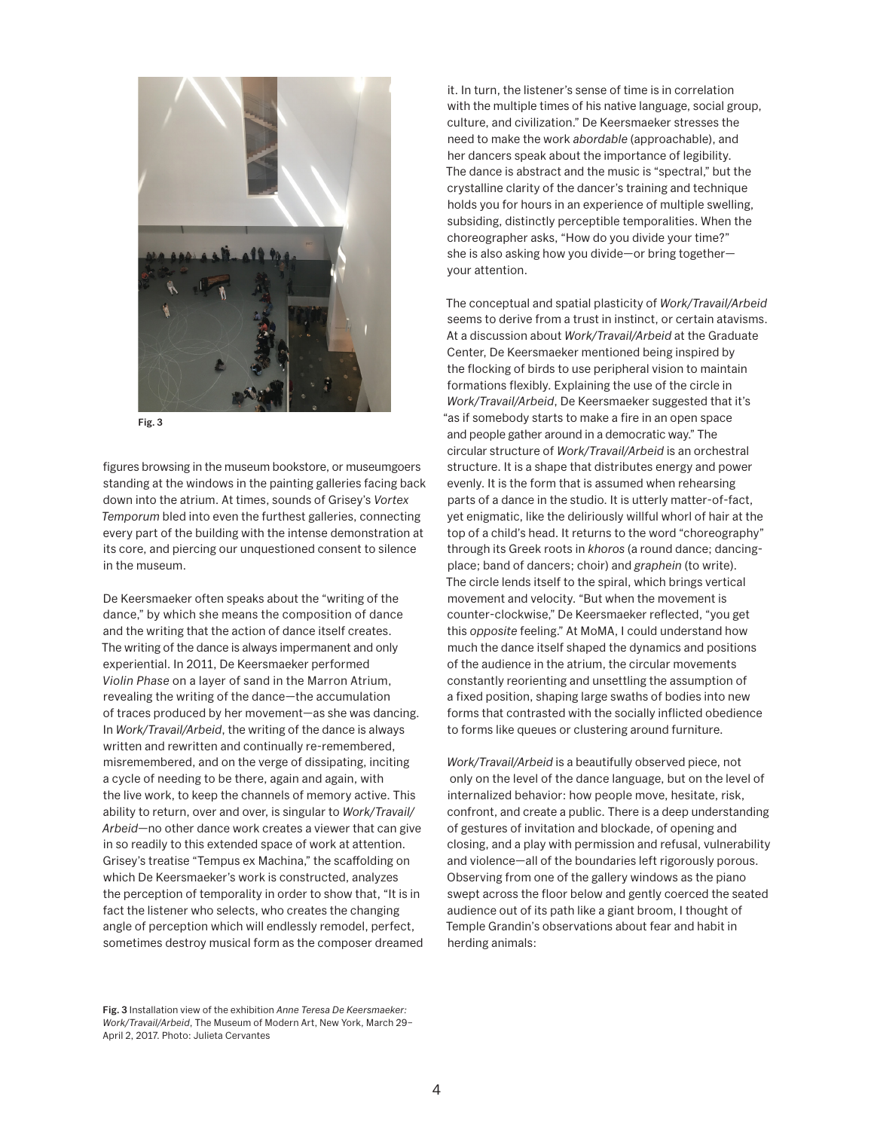

Fig. 3

figures browsing in the museum bookstore, or museumgoers standing at the windows in the painting galleries facing back down into the atrium. At times, sounds of Grisey's *Vortex Temporum* bled into even the furthest galleries, connecting every part of the building with the intense demonstration at its core, and piercing our unquestioned consent to silence in the museum.

De Keersmaeker often speaks about the "writing of the dance," by which she means the composition of dance and the writing that the action of dance itself creates. The writing of the dance is always impermanent and only experiential. In 2011, De Keersmaeker performed *Violin Phase* on a layer of sand in the Marron Atrium, revealing the writing of the dance—the accumulation of traces produced by her movement—as she was dancing. In *Work/Travail/Arbeid*, the writing of the dance is always written and rewritten and continually re-remembered, misremembered, and on the verge of dissipating, inciting a cycle of needing to be there, again and again, with the live work, to keep the channels of memory active. This ability to return, over and over, is singular to *Work/Travail/ Arbeid*—no other dance work creates a viewer that can give in so readily to this extended space of work at attention. Grisey's treatise "Tempus ex Machina," the scaffolding on which De Keersmaeker's work is constructed, analyzes the perception of temporality in order to show that, "It is in fact the listener who selects, who creates the changing angle of perception which will endlessly remodel, perfect, sometimes destroy musical form as the composer dreamed

Fig. 3 Installation view of the exhibition *Anne Teresa De Keersmaeker: Work/Travail/Arbeid*, The Museum of Modern Art, New York, March 29– April 2, 2017. Photo: Julieta Cervantes

it. In turn, the listener's sense of time is in correlation with the multiple times of his native language, social group, culture, and civilization." De Keersmaeker stresses the need to make the work *abordable* (approachable), and her dancers speak about the importance of legibility. The dance is abstract and the music is "spectral," but the crystalline clarity of the dancer's training and technique holds you for hours in an experience of multiple swelling, subsiding, distinctly perceptible temporalities. When the choreographer asks, "How do you divide your time?" she is also asking how you divide—or bring together your attention.

The conceptual and spatial plasticity of *Work/Travail/Arbeid*  seems to derive from a trust in instinct, or certain atavisms. At a discussion about *Work/Travail/Arbeid* at the Graduate Center, De Keersmaeker mentioned being inspired by the flocking of birds to use peripheral vision to maintain formations flexibly. Explaining the use of the circle in *Work/Travail/Arbeid*, De Keersmaeker suggested that it's "as if somebody starts to make a fire in an open space and people gather around in a democratic way." The circular structure of *Work/Travail/Arbeid* is an orchestral structure. It is a shape that distributes energy and power evenly. It is the form that is assumed when rehearsing parts of a dance in the studio. It is utterly matter-of-fact, yet enigmatic, like the deliriously willful whorl of hair at the top of a child's head. It returns to the word "choreography" through its Greek roots in *khoros* (a round dance; dancingplace; band of dancers; choir) and *graphein* (to write). The circle lends itself to the spiral, which brings vertical movement and velocity. "But when the movement is counter-clockwise," De Keersmaeker reflected, "you get this *opposite* feeling." At MoMA, I could understand how much the dance itself shaped the dynamics and positions of the audience in the atrium, the circular movements constantly reorienting and unsettling the assumption of a fixed position, shaping large swaths of bodies into new forms that contrasted with the socially inflicted obedience to forms like queues or clustering around furniture.

*Work/Travail/Arbeid* is a beautifully observed piece, not only on the level of the dance language, but on the level of internalized behavior: how people move, hesitate, risk, confront, and create a public. There is a deep understanding of gestures of invitation and blockade, of opening and closing, and a play with permission and refusal, vulnerability and violence—all of the boundaries left rigorously porous. Observing from one of the gallery windows as the piano swept across the floor below and gently coerced the seated audience out of its path like a giant broom, I thought of Temple Grandin's observations about fear and habit in herding animals: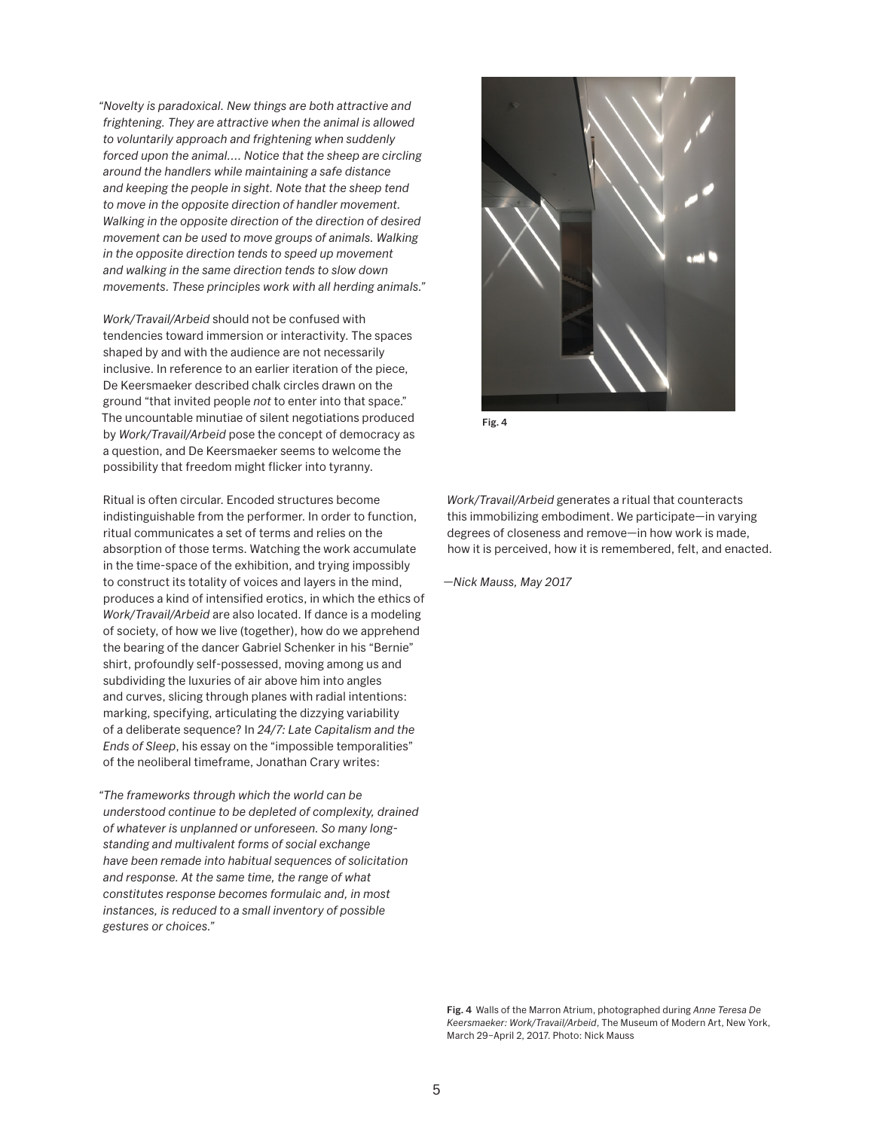*"Novelty is paradoxical. New things are both attractive and frightening. They are attractive when the animal is allowed to voluntarily approach and frightening when suddenly forced upon the animal.... Notice that the sheep are circling around the handlers while maintaining a safe distance and keeping the people in sight. Note that the sheep tend to move in the opposite direction of handler movement. Walking in the opposite direction of the direction of desired movement can be used to move groups of animals. Walking in the opposite direction tends to speed up movement and walking in the same direction tends to slow down movements. These principles work with all herding animals."* 

*Work/Travail/Arbeid* should not be confused with tendencies toward immersion or interactivity. The spaces shaped by and with the audience are not necessarily inclusive. In reference to an earlier iteration of the piece, De Keersmaeker described chalk circles drawn on the ground "that invited people *not* to enter into that space." The uncountable minutiae of silent negotiations produced by *Work/Travail/Arbeid* pose the concept of democracy as a question, and De Keersmaeker seems to welcome the possibility that freedom might flicker into tyranny.

Ritual is often circular. Encoded structures become indistinguishable from the performer. In order to function, ritual communicates a set of terms and relies on the absorption of those terms. Watching the work accumulate in the time-space of the exhibition, and trying impossibly to construct its totality of voices and layers in the mind, produces a kind of intensified erotics, in which the ethics of *Work/Travail/Arbeid* are also located. If dance is a modeling of society, of how we live (together), how do we apprehend the bearing of the dancer Gabriel Schenker in his "Bernie" shirt, profoundly self-possessed, moving among us and subdividing the luxuries of air above him into angles and curves, slicing through planes with radial intentions: marking, specifying, articulating the dizzying variability of a deliberate sequence? In *24/7: Late Capitalism and the Ends of Sleep*, his essay on the "impossible temporalities" of the neoliberal timeframe, Jonathan Crary writes:

*"The frameworks through which the world can be understood continue to be depleted of complexity, drained of whatever is unplanned or unforeseen. So many longstanding and multivalent forms of social exchange have been remade into habitual sequences of solicitation and response. At the same time, the range of what constitutes response becomes formulaic and, in most instances, is reduced to a small inventory of possible gestures or choices."* 



Fig. 4

*Work/Travail/Arbeid* generates a ritual that counteracts this immobilizing embodiment. We participate—in varying degrees of closeness and remove—in how work is made, how it is perceived, how it is remembered, felt, and enacted.

*—Nick Mauss, May 2017*

Fig. 4 Walls of the Marron Atrium, photographed during *Anne Teresa De Keersmaeker: Work/Travail/Arbeid*, The Museum of Modern Art, New York, March 29–April 2, 2017. Photo: Nick Mauss